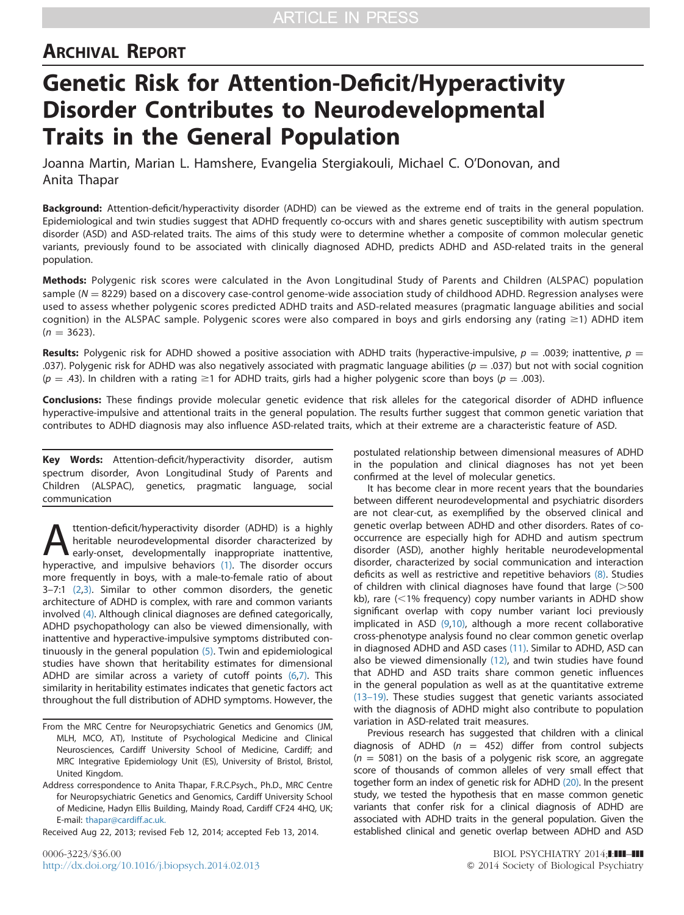# ARCHIVAL REPORT

# Genetic Risk for Attention-Deficit/Hyperactivity Disorder Contributes to Neurodevelopmental Traits in the General Population

Joanna Martin, Marian L. Hamshere, Evangelia Stergiakouli, Michael C. O'Donovan, and Anita Thapar

Background: Attention-deficit/hyperactivity disorder (ADHD) can be viewed as the extreme end of traits in the general population. Epidemiological and twin studies suggest that ADHD frequently co-occurs with and shares genetic susceptibility with autism spectrum disorder (ASD) and ASD-related traits. The aims of this study were to determine whether a composite of common molecular genetic variants, previously found to be associated with clinically diagnosed ADHD, predicts ADHD and ASD-related traits in the general population.

Methods: Polygenic risk scores were calculated in the Avon Longitudinal Study of Parents and Children (ALSPAC) population sample ( $N = 8229$ ) based on a discovery case-control genome-wide association study of childhood ADHD. Regression analyses were used to assess whether polygenic scores predicted ADHD traits and ASD-related measures (pragmatic language abilities and social cognition) in the ALSPAC sample. Polygenic scores were also compared in boys and girls endorsing any (rating  $\geq$ 1) ADHD item  $(n = 3623)$ .

**Results:** Polygenic risk for ADHD showed a positive association with ADHD traits (hyperactive-impulsive,  $p = .0039$ ; inattentive,  $p =$ .037). Polygenic risk for ADHD was also negatively associated with pragmatic language abilities ( $p = .037$ ) but not with social cognition  $(p = .43)$ . In children with a rating  $\geq 1$  for ADHD traits, girls had a higher polygenic score than boys (p = .003).

Conclusions: These findings provide molecular genetic evidence that risk alleles for the categorical disorder of ADHD influence hyperactive-impulsive and attentional traits in the general population. The results further suggest that common genetic variation that contributes to ADHD diagnosis may also influence ASD-related traits, which at their extreme are a characteristic feature of ASD.

Key Words: Attention-deficit/hyperactivity disorder, autism spectrum disorder, Avon Longitudinal Study of Parents and Children (ALSPAC), genetics, pragmatic language, social communication

ttention-deficit/hyperactivity disorder (ADHD) is a highly heritable neurodevelopmental disorder characterized by early-onset, developmentally inappropriate inattentive, hyperactive, and impulsive behaviors [\(1\).](#page-6-0) The disorder occurs more frequently in boys, with a male-to-female ratio of about 3–7:1 [\(2,3\)](#page-6-0). Similar to other common disorders, the genetic architecture of ADHD is complex, with rare and common variants involved [\(4\).](#page-6-0) Although clinical diagnoses are defined categorically, ADHD psychopathology can also be viewed dimensionally, with inattentive and hyperactive-impulsive symptoms distributed continuously in the general population [\(5\)](#page-6-0). Twin and epidemiological studies have shown that heritability estimates for dimensional ADHD are similar across a variety of cutoff points [\(6,7\).](#page-6-0) This similarity in heritability estimates indicates that genetic factors act throughout the full distribution of ADHD symptoms. However, the

postulated relationship between dimensional measures of ADHD in the population and clinical diagnoses has not yet been confirmed at the level of molecular genetics.

It has become clear in more recent years that the boundaries between different neurodevelopmental and psychiatric disorders are not clear-cut, as exemplified by the observed clinical and genetic overlap between ADHD and other disorders. Rates of cooccurrence are especially high for ADHD and autism spectrum disorder (ASD), another highly heritable neurodevelopmental disorder, characterized by social communication and interaction deficits as well as restrictive and repetitive behaviors [\(8\)](#page-6-0). Studies of children with clinical diagnoses have found that large  $(>500$ kb), rare  $(<1%$  frequency) copy number variants in ADHD show significant overlap with copy number variant loci previously implicated in ASD [\(9,10\),](#page-6-0) although a more recent collaborative cross-phenotype analysis found no clear common genetic overlap in diagnosed ADHD and ASD cases [\(11\)](#page-6-0). Similar to ADHD, ASD can also be viewed dimensionally [\(12\),](#page-6-0) and twin studies have found that ADHD and ASD traits share common genetic influences in the general population as well as at the quantitative extreme (13–[19\)](#page-6-0). These studies suggest that genetic variants associated with the diagnosis of ADHD might also contribute to population variation in ASD-related trait measures.

Previous research has suggested that children with a clinical diagnosis of ADHD ( $n = 452$ ) differ from control subjects  $(n = 5081)$  on the basis of a polygenic risk score, an aggregate score of thousands of common alleles of very small effect that together form an index of genetic risk for ADHD [\(20\)](#page-6-0). In the present study, we tested the hypothesis that en masse common genetic variants that confer risk for a clinical diagnosis of ADHD are associated with ADHD traits in the general population. Given the established clinical and genetic overlap between ADHD and ASD

From the MRC Centre for Neuropsychiatric Genetics and Genomics (JM, MLH, MCO, AT), Institute of Psychological Medicine and Clinical Neurosciences, Cardiff University School of Medicine, Cardiff; and MRC Integrative Epidemiology Unit (ES), University of Bristol, Bristol, United Kingdom.

Address correspondence to Anita Thapar, F.R.C.Psych., Ph.D., MRC Centre for Neuropsychiatric Genetics and Genomics, Cardiff University School of Medicine, Hadyn Ellis Building, Maindy Road, Cardiff CF24 4HQ, UK; E-mail: [thapar@cardiff.ac.uk.](mailto:thapar@cardiff.ac.uk)

Received Aug 22, 2013; revised Feb 12, 2014; accepted Feb 13, 2014.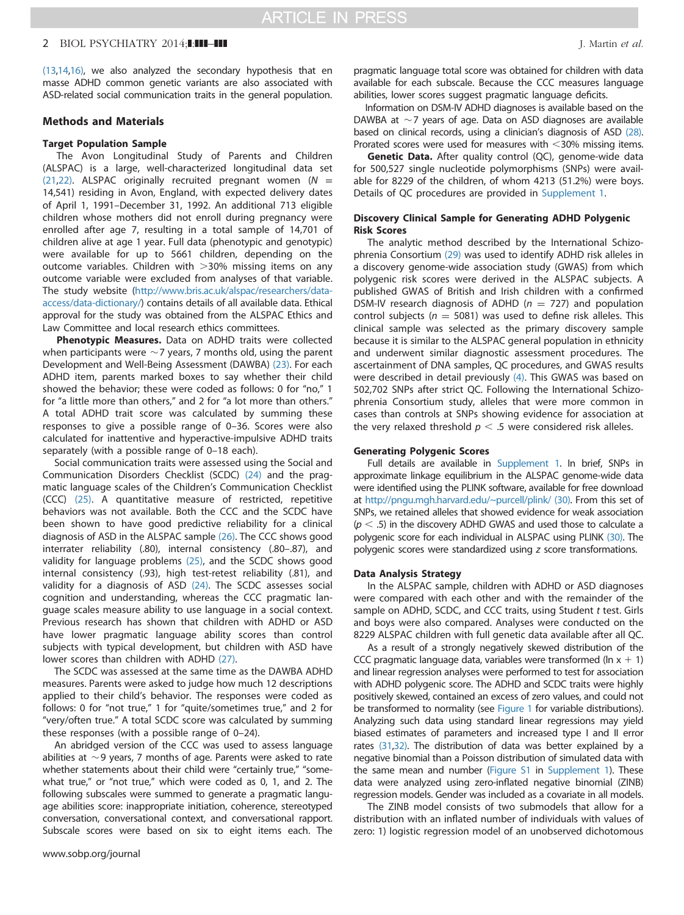#### 2 BIOL PSYCHIATRY 2014;**1:11-111** J. Martin et al.

[\(13,14,16\)](#page-6-0), we also analyzed the secondary hypothesis that en masse ADHD common genetic variants are also associated with ASD-related social communication traits in the general population.

#### Methods and Materials

#### Target Population Sample

The Avon Longitudinal Study of Parents and Children (ALSPAC) is a large, well-characterized longitudinal data set [\(21](#page-6-0),[22\).](#page-6-0) ALSPAC originally recruited pregnant women ( $N =$ 14,541) residing in Avon, England, with expected delivery dates of April 1, 1991–December 31, 1992. An additional 713 eligible children whose mothers did not enroll during pregnancy were enrolled after age 7, resulting in a total sample of 14,701 of children alive at age 1 year. Full data (phenotypic and genotypic) were available for up to 5661 children, depending on the outcome variables. Children with  $>$ 30% missing items on any outcome variable were excluded from analyses of that variable. The study website [\(http://www.bris.ac.uk/alspac/researchers/data](http://www.bris.ac.uk/alspac/researchers/data-access/data-&!QJ;dictionary/)[access/data-dictionary/\)](http://www.bris.ac.uk/alspac/researchers/data-access/data-&!QJ;dictionary/) contains details of all available data. Ethical approval for the study was obtained from the ALSPAC Ethics and Law Committee and local research ethics committees.

Phenotypic Measures. Data on ADHD traits were collected when participants were  $\sim$  7 years, 7 months old, using the parent Development and Well-Being Assessment (DAWBA) [\(23\).](#page-6-0) For each ADHD item, parents marked boxes to say whether their child showed the behavior; these were coded as follows: 0 for "no," 1 for "a little more than others," and 2 for "a lot more than others." A total ADHD trait score was calculated by summing these responses to give a possible range of 0–36. Scores were also calculated for inattentive and hyperactive-impulsive ADHD traits separately (with a possible range of 0–18 each).

Social communication traits were assessed using the Social and Communication Disorders Checklist (SCDC) [\(24\)](#page-6-0) and the pragmatic language scales of the Children's Communication Checklist (CCC) [\(25\)](#page-6-0). A quantitative measure of restricted, repetitive behaviors was not available. Both the CCC and the SCDC have been shown to have good predictive reliability for a clinical diagnosis of ASD in the ALSPAC sample [\(26\)](#page-6-0). The CCC shows good interrater reliability (.80), internal consistency (.80–.87), and validity for language problems [\(25\)](#page-6-0), and the SCDC shows good internal consistency (.93), high test-retest reliability (.81), and validity for a diagnosis of ASD [\(24\)](#page-6-0). The SCDC assesses social cognition and understanding, whereas the CCC pragmatic language scales measure ability to use language in a social context. Previous research has shown that children with ADHD or ASD have lower pragmatic language ability scores than control subjects with typical development, but children with ASD have lower scores than children with ADHD [\(27\)](#page-6-0).

The SCDC was assessed at the same time as the DAWBA ADHD measures. Parents were asked to judge how much 12 descriptions applied to their child's behavior. The responses were coded as follows: 0 for "not true," 1 for "quite/sometimes true," and 2 for "very/often true." A total SCDC score was calculated by summing these responses (with a possible range of 0–24).

An abridged version of the CCC was used to assess language abilities at  $\sim$  9 years, 7 months of age. Parents were asked to rate whether statements about their child were "certainly true," "somewhat true," or "not true," which were coded as 0, 1, and 2. The following subscales were summed to generate a pragmatic language abilities score: inappropriate initiation, coherence, stereotyped conversation, conversational context, and conversational rapport. Subscale scores were based on six to eight items each. The pragmatic language total score was obtained for children with data available for each subscale. Because the CCC measures language abilities, lower scores suggest pragmatic language deficits.

Information on DSM-IV ADHD diagnoses is available based on the DAWBA at  $\sim$  7 years of age. Data on ASD diagnoses are available based on clinical records, using a clinician's diagnosis of ASD [\(28\).](#page-6-0) Prorated scores were used for measures with  $<$ 30% missing items.

Genetic Data. After quality control (QC), genome-wide data for 500,527 single nucleotide polymorphisms (SNPs) were available for 8229 of the children, of whom 4213 (51.2%) were boys. Details of QC procedures are provided in [Supplement 1.](#page-6-0)

#### Discovery Clinical Sample for Generating ADHD Polygenic Risk Scores

The analytic method described by the International Schizophrenia Consortium [\(29\)](#page-6-0) was used to identify ADHD risk alleles in a discovery genome-wide association study (GWAS) from which polygenic risk scores were derived in the ALSPAC subjects. A published GWAS of British and Irish children with a confirmed DSM-IV research diagnosis of ADHD ( $n = 727$ ) and population control subjects ( $n = 5081$ ) was used to define risk alleles. This clinical sample was selected as the primary discovery sample because it is similar to the ALSPAC general population in ethnicity and underwent similar diagnostic assessment procedures. The ascertainment of DNA samples, QC procedures, and GWAS results were described in detail previously [\(4\).](#page-6-0) This GWAS was based on 502,702 SNPs after strict QC. Following the International Schizophrenia Consortium study, alleles that were more common in cases than controls at SNPs showing evidence for association at the very relaxed threshold  $p < 0.5$  were considered risk alleles.

#### Generating Polygenic Scores

Full details are available in [Supplement 1.](#page-6-0) In brief, SNPs in approximate linkage equilibrium in the ALSPAC genome-wide data were identified using the PLINK software, available for free download at <http://pngu.mgh.harvard.edu/~purcell/plink/> [\(30\).](#page-6-0) From this set of SNPs, we retained alleles that showed evidence for weak association  $(p < .5)$  in the discovery ADHD GWAS and used those to calculate a polygenic score for each individual in ALSPAC using PLINK [\(30\).](#page-6-0) The polygenic scores were standardized using z score transformations.

### Data Analysis Strategy

In the ALSPAC sample, children with ADHD or ASD diagnoses were compared with each other and with the remainder of the sample on ADHD, SCDC, and CCC traits, using Student t test. Girls and boys were also compared. Analyses were conducted on the 8229 ALSPAC children with full genetic data available after all QC.

As a result of a strongly negatively skewed distribution of the CCC pragmatic language data, variables were transformed (ln  $x + 1$ ) and linear regression analyses were performed to test for association with ADHD polygenic score. The ADHD and SCDC traits were highly positively skewed, contained an excess of zero values, and could not be transformed to normality (see [Figure 1](#page-2-0) for variable distributions). Analyzing such data using standard linear regressions may yield biased estimates of parameters and increased type I and II error rates [\(31,32\)](#page-6-0). The distribution of data was better explained by a negative binomial than a Poisson distribution of simulated data with the same mean and number [\(Figure S1](#page-6-0) in [Supplement 1](#page-6-0)). These data were analyzed using zero-inflated negative binomial (ZINB) regression models. Gender was included as a covariate in all models.

The ZINB model consists of two submodels that allow for a distribution with an inflated number of individuals with values of zero: 1) logistic regression model of an unobserved dichotomous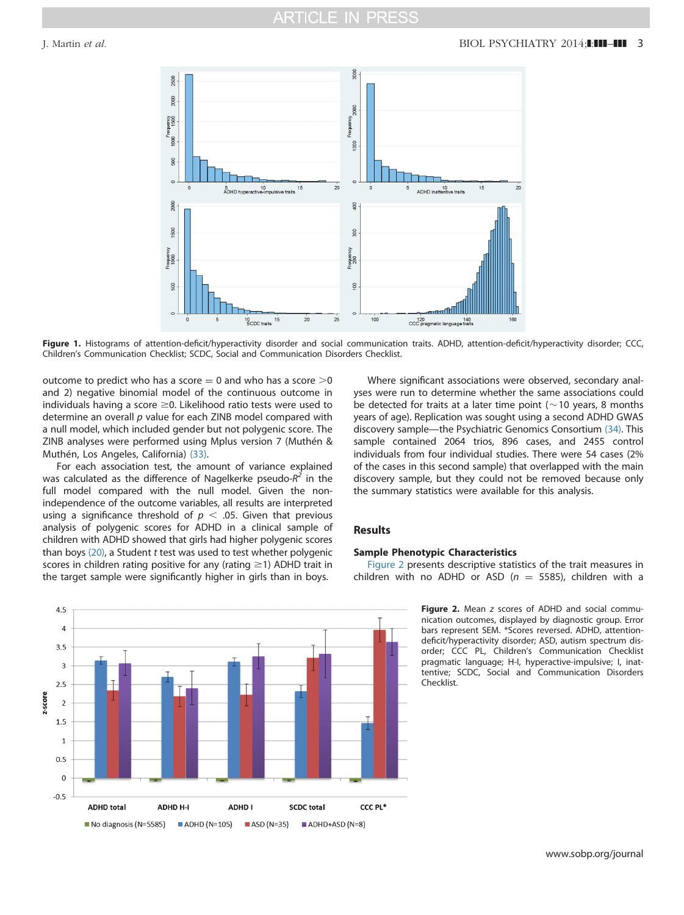<span id="page-2-0"></span>

Figure 1. Histograms of attention-deficit/hyperactivity disorder and social communication traits. ADHD, attention-deficit/hyperactivity disorder; CCC, Children's Communication Checklist; SCDC, Social and Communication Disorders Checklist.

outcome to predict who has a score  $= 0$  and who has a score  $> 0$ and 2) negative binomial model of the continuous outcome in individuals having a score  $\geq$  0. Likelihood ratio tests were used to determine an overall p value for each ZINB model compared with a null model, which included gender but not polygenic score. The ZINB analyses were performed using Mplus version 7 (Muthén & Muthén, Los Angeles, California) [\(33\).](#page-6-0)

For each association test, the amount of variance explained was calculated as the difference of Nagelkerke pseudo- $R^2$  in the full model compared with the null model. Given the nonindependence of the outcome variables, all results are interpreted using a significance threshold of  $p < .05$ . Given that previous analysis of polygenic scores for ADHD in a clinical sample of children with ADHD showed that girls had higher polygenic scores than boys  $(20)$ , a Student t test was used to test whether polygenic scores in children rating positive for any (rating  $\geq$ 1) ADHD trait in the target sample were significantly higher in girls than in boys.

Where significant associations were observed, secondary analyses were run to determine whether the same associations could be detected for traits at a later time point ( $\sim$  10 years, 8 months years of age). Replication was sought using a second ADHD GWAS discovery sample—the Psychiatric Genomics Consortium [\(34\)](#page-6-0). This sample contained 2064 trios, 896 cases, and 2455 control individuals from four individual studies. There were 54 cases (2% of the cases in this second sample) that overlapped with the main discovery sample, but they could not be removed because only the summary statistics were available for this analysis.

#### Results

#### Sample Phenotypic Characteristics

Figure 2 presents descriptive statistics of the trait measures in children with no ADHD or ASD ( $n = 5585$ ), children with a

> Figure 2. Mean z scores of ADHD and social communication outcomes, displayed by diagnostic group. Error bars represent SEM. \*Scores reversed. ADHD, attentiondeficit/hyperactivity disorder; ASD, autism spectrum disorder; CCC PL, Children's Communication Checklist pragmatic language; H-I, hyperactive-impulsive; I, inattentive; SCDC, Social and Communication Disorders Checklist.

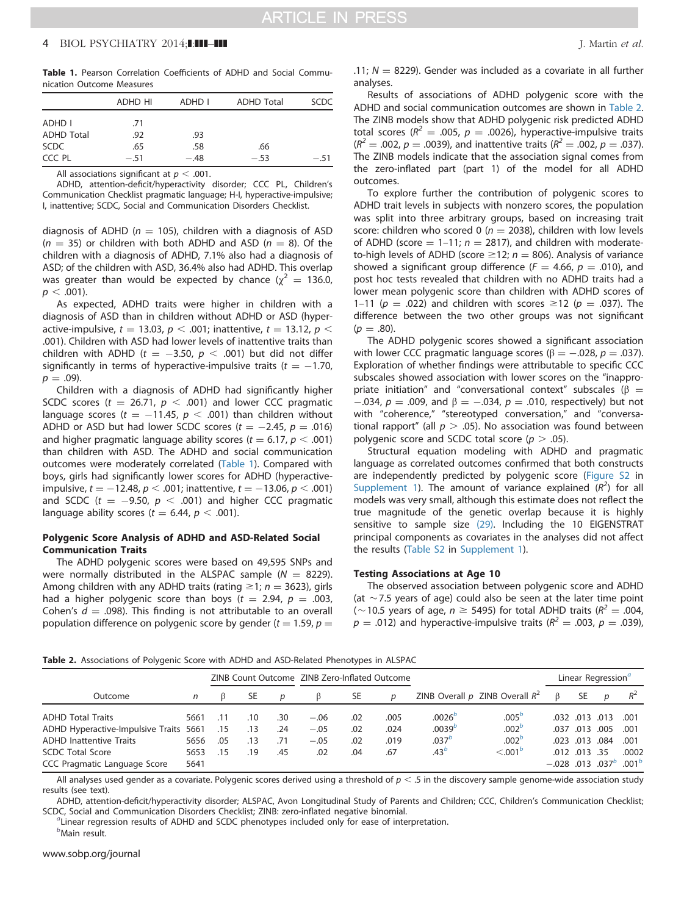#### 4 BIOL PSYCHIATRY 2014;**1:111-111** J. Martin et al.

Table 1. Pearson Correlation Coefficients of ADHD and Social Communication Outcome Measures

|                   | ADHD HI | ADHD I | <b>ADHD Total</b> | SCDC   |
|-------------------|---------|--------|-------------------|--------|
| ADHD I            | .71     |        |                   |        |
| <b>ADHD Total</b> | .92     | .93    |                   |        |
| SCDC              | .65     | .58    | .66               |        |
| CCC PL            | $-.51$  | $-.48$ | $-.53$            | $-.51$ |

All associations significant at  $p < .001$ .

ADHD, attention-deficit/hyperactivity disorder; CCC PL, Children's Communication Checklist pragmatic language; H-I, hyperactive-impulsive; I, inattentive; SCDC, Social and Communication Disorders Checklist.

diagnosis of ADHD ( $n = 105$ ), children with a diagnosis of ASD  $(n = 35)$  or children with both ADHD and ASD  $(n = 8)$ . Of the children with a diagnosis of ADHD, 7.1% also had a diagnosis of ASD; of the children with ASD, 36.4% also had ADHD. This overlap was greater than would be expected by chance ( $\chi^2 = 136.0$ ,  $p < .001$ ).

As expected, ADHD traits were higher in children with a diagnosis of ASD than in children without ADHD or ASD (hyperactive-impulsive,  $t = 13.03$ ,  $p < .001$ ; inattentive,  $t = 13.12$ ,  $p <$ .001). Children with ASD had lower levels of inattentive traits than children with ADHD ( $t = -3.50$ ,  $p < .001$ ) but did not differ significantly in terms of hyperactive-impulsive traits ( $t = -1.70$ ,  $p = .09$ ).

Children with a diagnosis of ADHD had significantly higher SCDC scores ( $t = 26.71$ ,  $p < .001$ ) and lower CCC pragmatic language scores ( $t = -11.45$ ,  $p < .001$ ) than children without ADHD or ASD but had lower SCDC scores ( $t = -2.45$ ,  $p = .016$ ) and higher pragmatic language ability scores ( $t = 6.17$ ,  $p < .001$ ) than children with ASD. The ADHD and social communication outcomes were moderately correlated (Table 1). Compared with boys, girls had significantly lower scores for ADHD (hyperactiveimpulsive,  $t = -12.48$ ,  $p < .001$ ; inattentive,  $t = -13.06$ ,  $p < .001$ ) and SCDC ( $t = -9.50$ ,  $p < .001$ ) and higher CCC pragmatic language ability scores ( $t = 6.44$ ,  $p < .001$ ).

#### Polygenic Score Analysis of ADHD and ASD-Related Social Communication Traits

The ADHD polygenic scores were based on 49,595 SNPs and were normally distributed in the ALSPAC sample ( $N = 8229$ ). Among children with any ADHD traits (rating  $\geq 1$ ; n = 3623), girls had a higher polygenic score than boys ( $t = 2.94$ ,  $p = .003$ , Cohen's  $d = .098$ ). This finding is not attributable to an overall population difference on polygenic score by gender ( $t = 1.59$ ,  $p =$ 

.11;  $N = 8229$ ). Gender was included as a covariate in all further analyses.

Results of associations of ADHD polygenic score with the ADHD and social communication outcomes are shown in Table 2. The ZINB models show that ADHD polygenic risk predicted ADHD total scores ( $R^2 = .005$ ,  $p = .0026$ ), hyperactive-impulsive traits  $(R^{2} = .002, p = .0039)$ , and inattentive traits  $(R^{2} = .002, p = .037)$ . The ZINB models indicate that the association signal comes from the zero-inflated part (part 1) of the model for all ADHD outcomes.

To explore further the contribution of polygenic scores to ADHD trait levels in subjects with nonzero scores, the population was split into three arbitrary groups, based on increasing trait score: children who scored 0 ( $n = 2038$ ), children with low levels of ADHD (score  $= 1-11$ ;  $n = 2817$ ), and children with moderateto-high levels of ADHD (score  $\geq$ 12; n = 806). Analysis of variance showed a significant group difference ( $F = 4.66$ ,  $p = .010$ ), and post hoc tests revealed that children with no ADHD traits had a lower mean polygenic score than children with ADHD scores of 1–11 ( $p = .022$ ) and children with scores  $\geq 12$  ( $p = .037$ ). The difference between the two other groups was not significant  $(p = .80)$ .

The ADHD polygenic scores showed a significant association with lower CCC pragmatic language scores ( $\beta = -.028$ ,  $p = .037$ ). Exploration of whether findings were attributable to specific CCC subscales showed association with lower scores on the "inappropriate initiation" and "conversational context" subscales (β =  $-0.034$ ,  $p = 0.009$ , and  $\beta = -0.034$ ,  $p = 0.010$ , respectively) but not with "coherence," "stereotyped conversation," and "conversational rapport" (all  $p > .05$ ). No association was found between polygenic score and SCDC total score ( $p > .05$ ).

Structural equation modeling with ADHD and pragmatic language as correlated outcomes confirmed that both constructs are independently predicted by polygenic score ([Figure S2](#page-6-0) in [Supplement 1\)](#page-6-0). The amount of variance explained  $(R^2)$  for all models was very small, although this estimate does not reflect the true magnitude of the genetic overlap because it is highly sensitive to sample size [\(29\)](#page-6-0). Including the 10 EIGENSTRAT principal components as covariates in the analyses did not affect the results [\(Table S2](#page-6-0) in [Supplement 1](#page-6-0)).

#### Testing Associations at Age 10

The observed association between polygenic score and ADHD (at  $\sim$  7.5 years of age) could also be seen at the later time point (~10.5 years of age,  $n \ge 5495$ ) for total ADHD traits ( $R^2 = .004$ ,  $p = .012$ ) and hyperactive-impulsive traits ( $R<sup>2</sup> = .003$ ,  $p = .039$ ),

Table 2. Associations of Polygenic Score with ADHD and ASD-Related Phenotypes in ALSPAC

|                                        |      |     |     |     | ZINB Count Outcome ZINB Zero-Inflated Outcome |           |      |                    |                                     | Linear Regression <sup>a</sup> |               |            |                   |  |
|----------------------------------------|------|-----|-----|-----|-----------------------------------------------|-----------|------|--------------------|-------------------------------------|--------------------------------|---------------|------------|-------------------|--|
| Outcome                                |      |     | SE. |     |                                               | <b>SE</b> |      |                    | ZINB Overall $p$ ZINB Overall $R^2$ |                                | <b>SE</b>     |            | $R^2$             |  |
| <b>ADHD Total Traits</b>               | 5661 | .11 | .10 | .30 | $-.06$                                        | .02       | .005 | .0026 <sup>b</sup> | $.005^{b}$                          |                                | 032 013 013   |            | .001              |  |
| ADHD Hyperactive-Impulsive Traits 5661 |      | .15 | .13 | .24 | $-.05$                                        | .02       | .024 | .0039 <sup>b</sup> | .002 <sup>b</sup>                   |                                | .037 .013     | .005       | .001              |  |
| <b>ADHD Inattentive Traits</b>         | 5656 | .05 | .13 | .71 | $-.05$                                        | .02       | .019 | $.037^{b}$         | .002 <sup>b</sup>                   |                                | .023 .013     | .084       | .001              |  |
| <b>SCDC Total Score</b>                | 5653 | .15 | .19 | .45 | .02                                           | .04       | .67  | $.43^{b}$          | < 0.01 <sup>b</sup>                 |                                | .012 .013 .35 |            | .0002             |  |
| CCC Pragmatic Language Score           | 5641 |     |     |     |                                               |           |      |                    |                                     | $-.028$ .013                   |               | $.037^{o}$ | .001 <sup>b</sup> |  |

All analyses used gender as a covariate. Polygenic scores derived using a threshold of  $p < .5$  in the discovery sample genome-wide association study results (see text).

ADHD, attention-deficit/hyperactivity disorder; ALSPAC, Avon Longitudinal Study of Parents and Children; CCC, Children's Communication Checklist; SCDC, Social and Communication Disorders Checklist; ZINB: zero-inflated negative binomial.

 $a<sub>L</sub>$  Linear regression results of ADHD and SCDC phenotypes included only for ease of interpretation.

<sup>b</sup>Main result.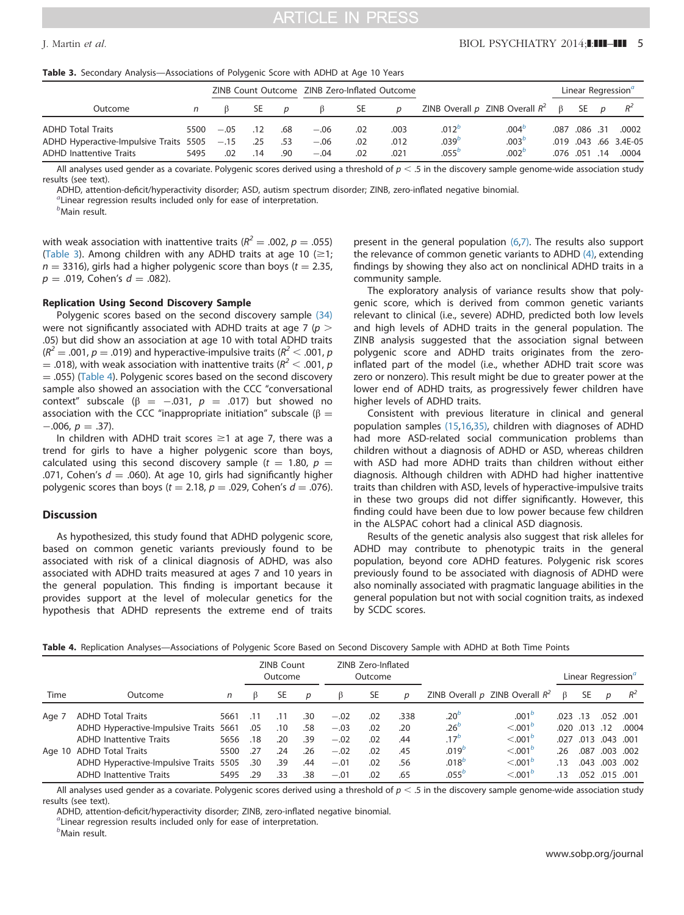#### J. Martin et al. **BIOL PSYCHIATRY 2014; IIII-III** 5

#### Table 3. Secondary Analysis—Associations of Polygenic Score with ADHD at Age 10 Years

|                                             |      | ZINB Count Outcome ZINB Zero-Inflated Outcome |     |     |        |     |      |                   |                                   |         |           |                | Linear Regression <sup>a</sup> |
|---------------------------------------------|------|-----------------------------------------------|-----|-----|--------|-----|------|-------------------|-----------------------------------|---------|-----------|----------------|--------------------------------|
| Outcome                                     |      |                                               | SE. |     |        | SE. |      |                   | ZINB Overall p ZINB Overall $R^2$ | $\beta$ | <b>SE</b> | $\overline{D}$ |                                |
| <b>ADHD Total Traits</b>                    | 5500 | $-.05$                                        | .12 | .68 | $-.06$ | .02 | .003 | $.012^{b}$        | .004 <sup>b</sup>                 | .087    | .086.31   |                | .0002                          |
| ADHD Hyperactive-Impulsive Traits 5505 - 15 |      |                                               | .25 | .53 | $-.06$ | .02 | .012 | .039 <sup>b</sup> | .003 <sup>b</sup>                 |         |           |                | .019 .043 .66 3.4E-05          |
| <b>ADHD Inattentive Traits</b>              | 5495 | በ2                                            | .14 | .90 | $-.04$ | .02 | .021 | $.055^{o}$        | .002 <sup>b</sup>                 |         | .076 .051 | .14            | .0004                          |

All analyses used gender as a covariate. Polygenic scores derived using a threshold of  $p < 0.5$  in the discovery sample genome-wide association study results (see text).

ADHD, attention-deficit/hyperactivity disorder; ASD, autism spectrum disorder; ZINB, zero-inflated negative binomial.

 $a$ Linear regression results included only for ease of interpretation.

<sup>b</sup>Main result.

with weak association with inattentive traits ( $R^2 = .002$ ,  $p = .055$ ) (Table 3). Among children with any ADHD traits at age 10 ( $\geq$ 1;  $n = 3316$ ), girls had a higher polygenic score than boys ( $t = 2.35$ ,  $p = .019$ , Cohen's  $d = .082$ ).

#### Replication Using Second Discovery Sample

Polygenic scores based on the second discovery sample [\(34\)](#page-6-0) were not significantly associated with ADHD traits at age 7 ( $p >$ .05) but did show an association at age 10 with total ADHD traits  $(R<sup>2</sup> = .001, p = .019)$  and hyperactive-impulsive traits  $(R<sup>2</sup> < .001, p$  $=$  .018), with weak association with inattentive traits ( $R^2$  < .001, p  $=$  .055) (Table 4). Polygenic scores based on the second discovery sample also showed an association with the CCC "conversational context" subscale ( $\beta$  = -.031,  $p$  = .017) but showed no association with the CCC "inappropriate initiation" subscale ( $\beta =$  $-.006, p = .37$ ).

In children with ADHD trait scores  $\geq 1$  at age 7, there was a trend for girls to have a higher polygenic score than boys, calculated using this second discovery sample ( $t = 1.80$ ,  $p =$ .071, Cohen's  $d = .060$ ). At age 10, girls had significantly higher polygenic scores than boys ( $t = 2.18$ ,  $p = .029$ , Cohen's  $d = .076$ ).

#### **Discussion**

As hypothesized, this study found that ADHD polygenic score, based on common genetic variants previously found to be associated with risk of a clinical diagnosis of ADHD, was also associated with ADHD traits measured at ages 7 and 10 years in the general population. This finding is important because it provides support at the level of molecular genetics for the hypothesis that ADHD represents the extreme end of traits

present in the general population [\(6,7\).](#page-6-0) The results also support the relevance of common genetic variants to ADHD [\(4\)](#page-6-0), extending findings by showing they also act on nonclinical ADHD traits in a community sample.

The exploratory analysis of variance results show that polygenic score, which is derived from common genetic variants relevant to clinical (i.e., severe) ADHD, predicted both low levels and high levels of ADHD traits in the general population. The ZINB analysis suggested that the association signal between polygenic score and ADHD traits originates from the zeroinflated part of the model (i.e., whether ADHD trait score was zero or nonzero). This result might be due to greater power at the lower end of ADHD traits, as progressively fewer children have higher levels of ADHD traits.

Consistent with previous literature in clinical and general population samples [\(15,16,35\),](#page-6-0) children with diagnoses of ADHD had more ASD-related social communication problems than children without a diagnosis of ADHD or ASD, whereas children with ASD had more ADHD traits than children without either diagnosis. Although children with ADHD had higher inattentive traits than children with ASD, levels of hyperactive-impulsive traits in these two groups did not differ significantly. However, this finding could have been due to low power because few children in the ALSPAC cohort had a clinical ASD diagnosis.

Results of the genetic analysis also suggest that risk alleles for ADHD may contribute to phenotypic traits in the general population, beyond core ADHD features. Polygenic risk scores previously found to be associated with diagnosis of ADHD were also nominally associated with pragmatic language abilities in the general population but not with social cognition traits, as indexed by SCDC scores.

|  | Table 4. Replication Analyses—Associations of Polygenic Score Based on Second Discovery Sample with ADHD at Both Time Points |  |  |  |  |  |  |
|--|------------------------------------------------------------------------------------------------------------------------------|--|--|--|--|--|--|
|  |                                                                                                                              |  |  |  |  |  |  |

|        |                                        |      | <b>ZINB Count</b><br>Outcome |     |     | ZINB Zero-Inflated<br>Outcome |           |      |                  |                                     | Linear Regression <sup>a</sup> |           |      |       |  |
|--------|----------------------------------------|------|------------------------------|-----|-----|-------------------------------|-----------|------|------------------|-------------------------------------|--------------------------------|-----------|------|-------|--|
| Time   | Outcome<br>n                           |      |                              | SE. | D   |                               | <b>SE</b> | D    |                  | ZINB Overall $p$ ZINB Overall $R^2$ | $\beta$                        | <b>SE</b> |      | $R^2$ |  |
| Age 7  | <b>ADHD Total Traits</b>               | 5661 |                              |     | .30 | $-.02$                        | .02       | .338 | .20 <sup>p</sup> | .001 <sup>b</sup>                   | .023                           | .13       | .052 | .001  |  |
|        | ADHD Hyperactive-Impulsive Traits 5661 |      | .05                          | .10 | .58 | $-.03$                        | .02       | .20  | .26 <sup>b</sup> | $\leq 0.01b$                        |                                | .020 .013 | .12  | .0004 |  |
|        | <b>ADHD Inattentive Traits</b>         | 5656 | .18                          | .20 | .39 | $-.02$                        | .02       | .44  | .17 <sup>b</sup> | $\leq 0.01$                         | .027                           | .013      | .043 | .001  |  |
| Age 10 | <b>ADHD Total Traits</b>               | 5500 | .27                          | .24 | .26 | $-.02$                        | .02       | .45  | $.019^{o}$       | < 0.01 <sup>b</sup>                 | .26                            | .087      | .003 | .002  |  |
|        | ADHD Hyperactive-Impulsive Traits 5505 |      | .30                          | .39 | .44 | $-.01$                        | .02       | .56  | $.018^{b}$       | $\leq 0.01b$                        | .13                            | .043      | .003 | .002  |  |
|        | <b>ADHD Inattentive Traits</b>         | 5495 | .29                          | .33 | .38 | $-.01$                        | .02       | .65  | $.055^{b}$       | < .001 <sup>b</sup>                 | .13                            | .052      | .015 | .001  |  |

All analyses used gender as a covariate. Polygenic scores derived using a threshold of  $p < 0.5$  in the discovery sample genome-wide association study results (see text).

ADHD, attention-deficit/hyperactivity disorder; ZINB, zero-inflated negative binomial.

 $a$ Linear regression results included only for ease of interpretation.

<sup>b</sup>Main result.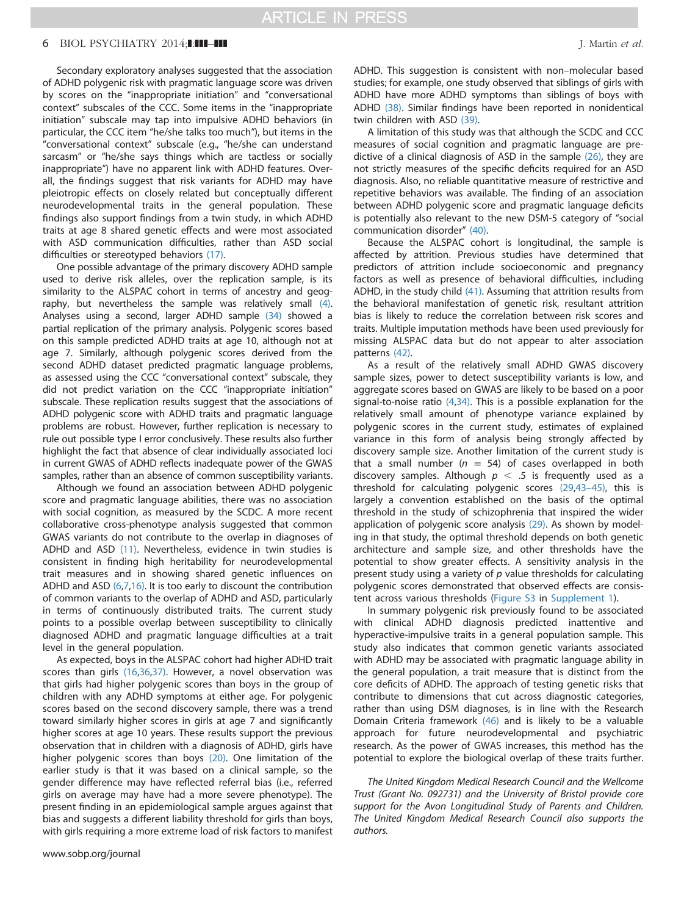#### 6 BIOL PSYCHIATRY 2014;**1:111-111** J. Martin et al.

Secondary exploratory analyses suggested that the association of ADHD polygenic risk with pragmatic language score was driven by scores on the "inappropriate initiation" and "conversational context" subscales of the CCC. Some items in the "inappropriate initiation" subscale may tap into impulsive ADHD behaviors (in particular, the CCC item "he/she talks too much"), but items in the "conversational context" subscale (e.g., "he/she can understand sarcasm" or "he/she says things which are tactless or socially inappropriate") have no apparent link with ADHD features. Overall, the findings suggest that risk variants for ADHD may have pleiotropic effects on closely related but conceptually different neurodevelopmental traits in the general population. These findings also support findings from a twin study, in which ADHD traits at age 8 shared genetic effects and were most associated with ASD communication difficulties, rather than ASD social difficulties or stereotyped behaviors [\(17\)](#page-6-0).

One possible advantage of the primary discovery ADHD sample used to derive risk alleles, over the replication sample, is its similarity to the ALSPAC cohort in terms of ancestry and geog-raphy, but nevertheless the sample was relatively small [\(4\).](#page-6-0) Analyses using a second, larger ADHD sample [\(34\)](#page-6-0) showed a partial replication of the primary analysis. Polygenic scores based on this sample predicted ADHD traits at age 10, although not at age 7. Similarly, although polygenic scores derived from the second ADHD dataset predicted pragmatic language problems, as assessed using the CCC "conversational context" subscale, they did not predict variation on the CCC "inappropriate initiation" subscale. These replication results suggest that the associations of ADHD polygenic score with ADHD traits and pragmatic language problems are robust. However, further replication is necessary to rule out possible type I error conclusively. These results also further highlight the fact that absence of clear individually associated loci in current GWAS of ADHD reflects inadequate power of the GWAS samples, rather than an absence of common susceptibility variants.

Although we found an association between ADHD polygenic score and pragmatic language abilities, there was no association with social cognition, as measured by the SCDC. A more recent collaborative cross-phenotype analysis suggested that common GWAS variants do not contribute to the overlap in diagnoses of ADHD and ASD [\(11\).](#page-6-0) Nevertheless, evidence in twin studies is consistent in finding high heritability for neurodevelopmental trait measures and in showing shared genetic influences on ADHD and ASD [\(6,7](#page-6-0),[16\).](#page-6-0) It is too early to discount the contribution of common variants to the overlap of ADHD and ASD, particularly in terms of continuously distributed traits. The current study points to a possible overlap between susceptibility to clinically diagnosed ADHD and pragmatic language difficulties at a trait level in the general population.

As expected, boys in the ALSPAC cohort had higher ADHD trait scores than girls [\(16,36,37\).](#page-6-0) However, a novel observation was that girls had higher polygenic scores than boys in the group of children with any ADHD symptoms at either age. For polygenic scores based on the second discovery sample, there was a trend toward similarly higher scores in girls at age 7 and significantly higher scores at age 10 years. These results support the previous observation that in children with a diagnosis of ADHD, girls have higher polygenic scores than boys [\(20\)](#page-6-0). One limitation of the earlier study is that it was based on a clinical sample, so the gender difference may have reflected referral bias (i.e., referred girls on average may have had a more severe phenotype). The present finding in an epidemiological sample argues against that bias and suggests a different liability threshold for girls than boys, with girls requiring a more extreme load of risk factors to manifest ADHD. This suggestion is consistent with non–molecular based studies; for example, one study observed that siblings of girls with ADHD have more ADHD symptoms than siblings of boys with ADHD [\(38\).](#page-7-0) Similar findings have been reported in nonidentical twin children with ASD [\(39\).](#page-7-0)

A limitation of this study was that although the SCDC and CCC measures of social cognition and pragmatic language are predictive of a clinical diagnosis of ASD in the sample [\(26\)](#page-6-0), they are not strictly measures of the specific deficits required for an ASD diagnosis. Also, no reliable quantitative measure of restrictive and repetitive behaviors was available. The finding of an association between ADHD polygenic score and pragmatic language deficits is potentially also relevant to the new DSM-5 category of "social communication disorder" [\(40\).](#page-7-0)

Because the ALSPAC cohort is longitudinal, the sample is affected by attrition. Previous studies have determined that predictors of attrition include socioeconomic and pregnancy factors as well as presence of behavioral difficulties, including ADHD, in the study child [\(41\)](#page-7-0). Assuming that attrition results from the behavioral manifestation of genetic risk, resultant attrition bias is likely to reduce the correlation between risk scores and traits. Multiple imputation methods have been used previously for missing ALSPAC data but do not appear to alter association patterns [\(42\).](#page-7-0)

As a result of the relatively small ADHD GWAS discovery sample sizes, power to detect susceptibility variants is low, and aggregate scores based on GWAS are likely to be based on a poor signal-to-noise ratio  $(4,34)$ . This is a possible explanation for the relatively small amount of phenotype variance explained by polygenic scores in the current study, estimates of explained variance in this form of analysis being strongly affected by discovery sample size. Another limitation of the current study is that a small number ( $n = 54$ ) of cases overlapped in both discovery samples. Although  $p < .5$  is frequently used as a threshold for calculating polygenic scores [\(29,](#page-6-0)43–[45\),](#page-7-0) this is largely a convention established on the basis of the optimal threshold in the study of schizophrenia that inspired the wider application of polygenic score analysis [\(29\).](#page-6-0) As shown by modeling in that study, the optimal threshold depends on both genetic architecture and sample size, and other thresholds have the potential to show greater effects. A sensitivity analysis in the present study using a variety of  $p$  value thresholds for calculating polygenic scores demonstrated that observed effects are consistent across various thresholds [\(Figure S3](#page-6-0) in [Supplement 1\)](#page-6-0).

In summary polygenic risk previously found to be associated with clinical ADHD diagnosis predicted inattentive and hyperactive-impulsive traits in a general population sample. This study also indicates that common genetic variants associated with ADHD may be associated with pragmatic language ability in the general population, a trait measure that is distinct from the core deficits of ADHD. The approach of testing genetic risks that contribute to dimensions that cut across diagnostic categories, rather than using DSM diagnoses, is in line with the Research Domain Criteria framework [\(46\)](#page-7-0) and is likely to be a valuable approach for future neurodevelopmental and psychiatric research. As the power of GWAS increases, this method has the potential to explore the biological overlap of these traits further.

The United Kingdom Medical Research Council and the Wellcome Trust (Grant No. 092731) and the University of Bristol provide core support for the Avon Longitudinal Study of Parents and Children. The United Kingdom Medical Research Council also supports the authors.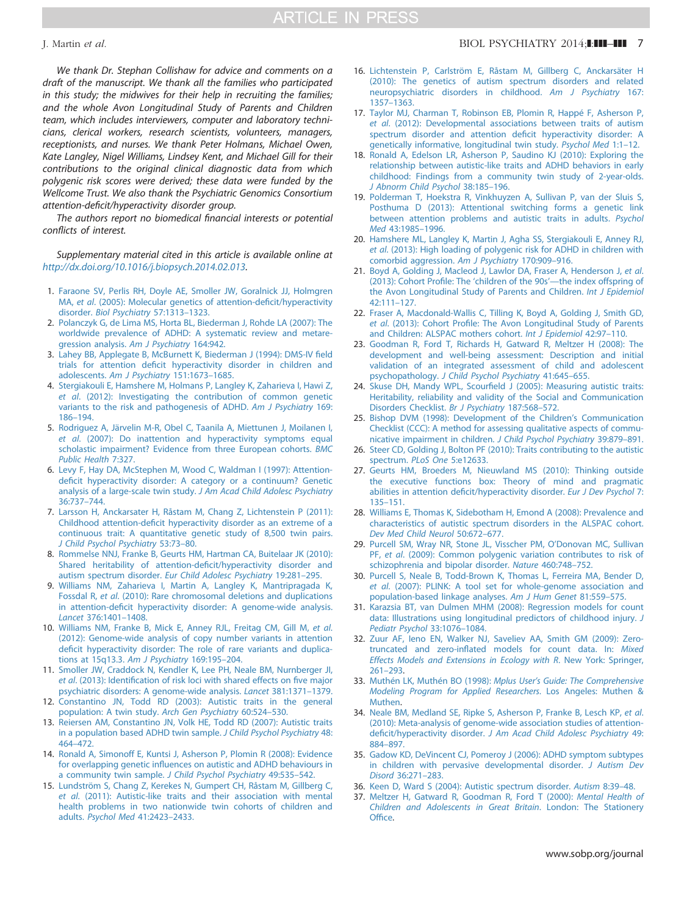<span id="page-6-0"></span>We thank Dr. Stephan Collishaw for advice and comments on a draft of the manuscript. We thank all the families who participated in this study; the midwives for their help in recruiting the families; and the whole Avon Longitudinal Study of Parents and Children team, which includes interviewers, computer and laboratory technicians, clerical workers, research scientists, volunteers, managers, receptionists, and nurses. We thank Peter Holmans, Michael Owen, Kate Langley, Nigel Williams, Lindsey Kent, and Michael Gill for their contributions to the original clinical diagnostic data from which polygenic risk scores were derived; these data were funded by the Wellcome Trust. We also thank the Psychiatric Genomics Consortium attention-deficit/hyperactivity disorder group.

The authors report no biomedical financial interests or potential conflicts of interest.

Supplementary material cited in this article is available online at http://dx.doi.org/10.1016/j.biopsych.2014.02.013.

- 1. [Faraone SV, Perlis RH, Doyle AE, Smoller JW, Goralnick JJ, Holmgren](http://refhub.elsevier.com/S0006-3223(14)00108-5/sbref1) MA, et al[. \(2005\): Molecular genetics of attention-de](http://refhub.elsevier.com/S0006-3223(14)00108-5/sbref1)ficit/hyperactivity disorder. [Biol Psychiatry](http://refhub.elsevier.com/S0006-3223(14)00108-5/sbref1) 57:1313–1323.
- 2. [Polanczyk G, de Lima MS, Horta BL, Biederman J, Rohde LA \(2007\): The](http://refhub.elsevier.com/S0006-3223(14)00108-5/sbref2) [worldwide prevalence of ADHD: A systematic review and metare](http://refhub.elsevier.com/S0006-3223(14)00108-5/sbref2)[gression analysis.](http://refhub.elsevier.com/S0006-3223(14)00108-5/sbref2) Am J Psychiatry 164:942.
- 3. [Lahey BB, Applegate B, McBurnett K, Biederman J \(1994\): DMS-IV](http://refhub.elsevier.com/S0006-3223(14)00108-5/sbref3) field trials for attention defi[cit hyperactivity disorder in children and](http://refhub.elsevier.com/S0006-3223(14)00108-5/sbref3) adolescents. [Am J Psychiatry](http://refhub.elsevier.com/S0006-3223(14)00108-5/sbref3) 151:1673–1685.
- 4. [Stergiakouli E, Hamshere M, Holmans P, Langley K, Zaharieva I, Hawi Z,](http://refhub.elsevier.com/S0006-3223(14)00108-5/sbref4) et al[. \(2012\): Investigating the contribution of common genetic](http://refhub.elsevier.com/S0006-3223(14)00108-5/sbref4) [variants to the risk and pathogenesis of ADHD.](http://refhub.elsevier.com/S0006-3223(14)00108-5/sbref4) Am J Psychiatry 169: 186–[194.](http://refhub.elsevier.com/S0006-3223(14)00108-5/sbref4)
- 5. [Rodriguez A, Järvelin M-R, Obel C, Taanila A, Miettunen J, Moilanen I,](http://refhub.elsevier.com/S0006-3223(14)00108-5/sbref5) et al[. \(2007\): Do inattention and hyperactivity symptoms equal](http://refhub.elsevier.com/S0006-3223(14)00108-5/sbref5) [scholastic impairment? Evidence from three European cohorts.](http://refhub.elsevier.com/S0006-3223(14)00108-5/sbref5) BMC [Public Health](http://refhub.elsevier.com/S0006-3223(14)00108-5/sbref5) 7:327.
- 6. [Levy F, Hay DA, McStephen M, Wood C, Waldman I \(1997\): Attention](http://refhub.elsevier.com/S0006-3223(14)00108-5/sbref6)defi[cit hyperactivity disorder: A category or a continuum? Genetic](http://refhub.elsevier.com/S0006-3223(14)00108-5/sbref6) [analysis of a large-scale twin study.](http://refhub.elsevier.com/S0006-3223(14)00108-5/sbref6) J Am Acad Child Adolesc Psychiatry [36:737](http://refhub.elsevier.com/S0006-3223(14)00108-5/sbref6)–744.
- 7. [Larsson H, Anckarsater H, Råstam M, Chang Z, Lichtenstein P \(2011\):](http://refhub.elsevier.com/S0006-3223(14)00108-5/sbref7) Childhood attention-defi[cit hyperactivity disorder as an extreme of a](http://refhub.elsevier.com/S0006-3223(14)00108-5/sbref7) [continuous trait: A quantitative genetic study of 8,500 twin pairs.](http://refhub.elsevier.com/S0006-3223(14)00108-5/sbref7) [J Child Psychol Psychiatry](http://refhub.elsevier.com/S0006-3223(14)00108-5/sbref7) 53:73–80.
- 8. [Rommelse NNJ, Franke B, Geurts HM, Hartman CA, Buitelaar JK \(2010\):](http://refhub.elsevier.com/S0006-3223(14)00108-5/sbref8) [Shared heritability of attention-de](http://refhub.elsevier.com/S0006-3223(14)00108-5/sbref8)ficit/hyperactivity disorder and autism spectrum disorder. [Eur Child Adolesc Psychiatry](http://refhub.elsevier.com/S0006-3223(14)00108-5/sbref8) 19:281–295.
- 9. [Williams NM, Zaharieva I, Martin A, Langley K, Mantripragada K,](http://refhub.elsevier.com/S0006-3223(14)00108-5/sbref9) Fossdal R, et al[. \(2010\): Rare chromosomal deletions and duplications](http://refhub.elsevier.com/S0006-3223(14)00108-5/sbref9) in attention-defi[cit hyperactivity disorder: A genome-wide analysis.](http://refhub.elsevier.com/S0006-3223(14)00108-5/sbref9) Lancet [376:1401](http://refhub.elsevier.com/S0006-3223(14)00108-5/sbref9)–1408.
- 10. [Williams NM, Franke B, Mick E, Anney RJL, Freitag CM, Gill M,](http://refhub.elsevier.com/S0006-3223(14)00108-5/sbref10) et al. [\(2012\): Genome-wide analysis of copy number variants in attention](http://refhub.elsevier.com/S0006-3223(14)00108-5/sbref10) defi[cit hyperactivity disorder: The role of rare variants and duplica](http://refhub.elsevier.com/S0006-3223(14)00108-5/sbref10)[tions at 15q13.3.](http://refhub.elsevier.com/S0006-3223(14)00108-5/sbref10) Am J Psychiatry 169:195–204.
- 11. [Smoller JW, Craddock N, Kendler K, Lee PH, Neale BM, Nurnberger JI,](http://refhub.elsevier.com/S0006-3223(14)00108-5/sbref11) et al. (2013): Identifi[cation of risk loci with shared effects on](http://refhub.elsevier.com/S0006-3223(14)00108-5/sbref11) five major [psychiatric disorders: A genome-wide analysis.](http://refhub.elsevier.com/S0006-3223(14)00108-5/sbref11) Lancet 381:1371–1379.
- 12. [Constantino JN, Todd RD \(2003\): Autistic traits in the general](http://refhub.elsevier.com/S0006-3223(14)00108-5/sbref12) [population: A twin study.](http://refhub.elsevier.com/S0006-3223(14)00108-5/sbref12) Arch Gen Psychiatry 60:524–530.
- 13. [Reiersen AM, Constantino JN, Volk HE, Todd RD \(2007\): Autistic traits](http://refhub.elsevier.com/S0006-3223(14)00108-5/sbref13) [in a population based ADHD twin sample.](http://refhub.elsevier.com/S0006-3223(14)00108-5/sbref13) J Child Psychol Psychiatry 48: 464–[472.](http://refhub.elsevier.com/S0006-3223(14)00108-5/sbref13)
- 14. [Ronald A, Simonoff E, Kuntsi J, Asherson P, Plomin R \(2008\): Evidence](http://refhub.elsevier.com/S0006-3223(14)00108-5/sbref14) for overlapping genetic infl[uences on autistic and ADHD behaviours in](http://refhub.elsevier.com/S0006-3223(14)00108-5/sbref14) [a community twin sample.](http://refhub.elsevier.com/S0006-3223(14)00108-5/sbref14) J Child Psychol Psychiatry 49:535–542.
- 15. [Lundström S, Chang Z, Kerekes N, Gumpert CH, Råstam M, Gillberg C,](http://refhub.elsevier.com/S0006-3223(14)00108-5/sbref15) et al[. \(2011\): Autistic-like traits and their association with mental](http://refhub.elsevier.com/S0006-3223(14)00108-5/sbref15) [health problems in two nationwide twin cohorts of children and](http://refhub.elsevier.com/S0006-3223(14)00108-5/sbref15) adults. [Psychol Med](http://refhub.elsevier.com/S0006-3223(14)00108-5/sbref15) 41:2423–2433.
- 16. [Lichtenstein P, Carlström E, Råstam M, Gillberg C, Anckarsäter H](http://refhub.elsevier.com/S0006-3223(14)00108-5/sbref16) [\(2010\): The genetics of autism spectrum disorders and related](http://refhub.elsevier.com/S0006-3223(14)00108-5/sbref16) [neuropsychiatric disorders in childhood.](http://refhub.elsevier.com/S0006-3223(14)00108-5/sbref16) Am J Psychiatry 167: 1357–[1363.](http://refhub.elsevier.com/S0006-3223(14)00108-5/sbref16)
- 17. [Taylor MJ, Charman T, Robinson EB, Plomin R, Happé F, Asherson P,](http://refhub.elsevier.com/S0006-3223(14)00108-5/sbref17) et al[. \(2012\): Developmental associations between traits of autism](http://refhub.elsevier.com/S0006-3223(14)00108-5/sbref17) [spectrum disorder and attention de](http://refhub.elsevier.com/S0006-3223(14)00108-5/sbref17)ficit hyperactivity disorder: A [genetically informative, longitudinal twin study.](http://refhub.elsevier.com/S0006-3223(14)00108-5/sbref17) Psychol Med 1:1–12.
- 18. [Ronald A, Edelson LR, Asherson P, Saudino KJ \(2010\): Exploring the](http://refhub.elsevier.com/S0006-3223(14)00108-5/sbref18) [relationship between autistic-like traits and ADHD behaviors in early](http://refhub.elsevier.com/S0006-3223(14)00108-5/sbref18) [childhood: Findings from a community twin study of 2-year-olds.](http://refhub.elsevier.com/S0006-3223(14)00108-5/sbref18) [J Abnorm Child Psychol](http://refhub.elsevier.com/S0006-3223(14)00108-5/sbref18) 38:185–196.
- 19. [Polderman T, Hoekstra R, Vinkhuyzen A, Sullivan P, van der Sluis S,](http://refhub.elsevier.com/S0006-3223(14)00108-5/sbref19) [Posthuma D \(2013\): Attentional switching forms a genetic link](http://refhub.elsevier.com/S0006-3223(14)00108-5/sbref19) [between attention problems and autistic traits in adults.](http://refhub.elsevier.com/S0006-3223(14)00108-5/sbref19) Psychol Med [43:1985](http://refhub.elsevier.com/S0006-3223(14)00108-5/sbref19)–1996.
- 20. [Hamshere ML, Langley K, Martin J, Agha SS, Stergiakouli E, Anney RJ,](http://refhub.elsevier.com/S0006-3223(14)00108-5/sbref20) et al[. \(2013\): High loading of polygenic risk for ADHD in children with](http://refhub.elsevier.com/S0006-3223(14)00108-5/sbref20) [comorbid aggression.](http://refhub.elsevier.com/S0006-3223(14)00108-5/sbref20) Am J Psychiatry 170:909–916.
- 21. [Boyd A, Golding J, Macleod J, Lawlor DA, Fraser A, Henderson J,](http://refhub.elsevier.com/S0006-3223(14)00108-5/sbref21) et al. (2013): Cohort Profile: The 'children of the 90s'—[the index offspring of](http://refhub.elsevier.com/S0006-3223(14)00108-5/sbref21) [the Avon Longitudinal Study of Parents and Children.](http://refhub.elsevier.com/S0006-3223(14)00108-5/sbref21) Int J Epidemiol [42:111](http://refhub.elsevier.com/S0006-3223(14)00108-5/sbref21)–127.
- 22. [Fraser A, Macdonald-Wallis C, Tilling K, Boyd A, Golding J, Smith GD,](http://refhub.elsevier.com/S0006-3223(14)00108-5/sbref22) et al. (2013): Cohort Profi[le: The Avon Longitudinal Study of Parents](http://refhub.elsevier.com/S0006-3223(14)00108-5/sbref22) [and Children: ALSPAC mothers cohort.](http://refhub.elsevier.com/S0006-3223(14)00108-5/sbref22) Int J Epidemiol 42:97–110.
- 23. [Goodman R, Ford T, Richards H, Gatward R, Meltzer H \(2008\): The](http://refhub.elsevier.com/S0006-3223(14)00108-5/sbref23) development and well‐[being assessment: Description and initial](http://refhub.elsevier.com/S0006-3223(14)00108-5/sbref23) [validation of an integrated assessment of child and adolescent](http://refhub.elsevier.com/S0006-3223(14)00108-5/sbref23) psychopathology. [J Child Psychol Psychiatry](http://refhub.elsevier.com/S0006-3223(14)00108-5/sbref23) 41:645–655.
- 24. Skuse DH, Mandy WPL, Scourfi[eld J \(2005\): Measuring autistic traits:](http://refhub.elsevier.com/S0006-3223(14)00108-5/sbref24) [Heritability, reliability and validity of the Social and Communication](http://refhub.elsevier.com/S0006-3223(14)00108-5/sbref24) [Disorders Checklist.](http://refhub.elsevier.com/S0006-3223(14)00108-5/sbref24) Br J Psychiatry 187:568–572.
- 25. [Bishop DVM \(1998\): Development of the Children](http://refhub.elsevier.com/S0006-3223(14)00108-5/sbref25)'s Communication [Checklist \(CCC\): A method for assessing qualitative aspects of commu](http://refhub.elsevier.com/S0006-3223(14)00108-5/sbref25)[nicative impairment in children.](http://refhub.elsevier.com/S0006-3223(14)00108-5/sbref25) J Child Psychol Psychiatry 39:879–891.
- 26. [Steer CD, Golding J, Bolton PF \(2010\): Traits contributing to the autistic](http://refhub.elsevier.com/S0006-3223(14)00108-5/sbref26) [spectrum.](http://refhub.elsevier.com/S0006-3223(14)00108-5/sbref26) PLoS One 5:e12633.
- 27. [Geurts HM, Broeders M, Nieuwland MS \(2010\): Thinking outside](http://refhub.elsevier.com/S0006-3223(14)00108-5/sbref27) [the executive functions box: Theory of mind and pragmatic](http://refhub.elsevier.com/S0006-3223(14)00108-5/sbref27) abilities in attention defi[cit/hyperactivity disorder.](http://refhub.elsevier.com/S0006-3223(14)00108-5/sbref27) Eur J Dev Psychol 7: 135–[151.](http://refhub.elsevier.com/S0006-3223(14)00108-5/sbref27)
- 28. [Williams E, Thomas K, Sidebotham H, Emond A \(2008\): Prevalence and](http://refhub.elsevier.com/S0006-3223(14)00108-5/sbref28) [characteristics of autistic spectrum disorders in the ALSPAC cohort.](http://refhub.elsevier.com/S0006-3223(14)00108-5/sbref28) [Dev Med Child Neurol](http://refhub.elsevier.com/S0006-3223(14)00108-5/sbref28) 50:672–677.
- 29. [Purcell SM, Wray NR, Stone JL, Visscher PM, O](http://refhub.elsevier.com/S0006-3223(14)00108-5/sbref29)'Donovan MC, Sullivan PF, et al[. \(2009\): Common polygenic variation contributes to risk of](http://refhub.elsevier.com/S0006-3223(14)00108-5/sbref29) [schizophrenia and bipolar disorder.](http://refhub.elsevier.com/S0006-3223(14)00108-5/sbref29) Nature 460:748–752.
- 30. [Purcell S, Neale B, Todd-Brown K, Thomas L, Ferreira MA, Bender D,](http://refhub.elsevier.com/S0006-3223(14)00108-5/sbref30) et al[. \(2007\): PLINK: A tool set for whole-genome association and](http://refhub.elsevier.com/S0006-3223(14)00108-5/sbref30) [population-based linkage analyses.](http://refhub.elsevier.com/S0006-3223(14)00108-5/sbref30) Am J Hum Genet 81:559–575.
- 31. [Karazsia BT, van Dulmen MHM \(2008\): Regression models for count](http://refhub.elsevier.com/S0006-3223(14)00108-5/sbref31) [data: Illustrations using longitudinal predictors of childhood injury.](http://refhub.elsevier.com/S0006-3223(14)00108-5/sbref31) J [Pediatr Psychol](http://refhub.elsevier.com/S0006-3223(14)00108-5/sbref31) 33:1076–1084.
- 32. [Zuur AF, Ieno EN, Walker NJ, Saveliev AA, Smith GM \(2009\): Zero](http://refhub.elsevier.com/S0006-3223(14)00108-5/sbref32)truncated and zero-infl[ated models for count data. In:](http://refhub.elsevier.com/S0006-3223(14)00108-5/sbref32) Mixed [Effects Models and Extensions in Ecology with R](http://refhub.elsevier.com/S0006-3223(14)00108-5/sbref32). New York: Springer, 261–[293.](http://refhub.elsevier.com/S0006-3223(14)00108-5/sbref32)
- 33. [Muthén LK, Muthén BO \(1998\):](http://refhub.elsevier.com/S0006-3223(14)00108-5/sbref33) Mplus User's Guide: The Comprehensive [Modeling Program for Applied Researchers](http://refhub.elsevier.com/S0006-3223(14)00108-5/sbref33). Los Angeles: Muthen & [Muthen.](http://refhub.elsevier.com/S0006-3223(14)00108-5/sbref33)
- 34. [Neale BM, Medland SE, Ripke S, Asherson P, Franke B, Lesch KP,](http://refhub.elsevier.com/S0006-3223(14)00108-5/sbref34) et al. [\(2010\): Meta-analysis of genome-wide association studies of attention](http://refhub.elsevier.com/S0006-3223(14)00108-5/sbref34)deficit/hyperactivity disorder. [J Am Acad Child Adolesc Psychiatry](http://refhub.elsevier.com/S0006-3223(14)00108-5/sbref34) 49: 884–[897.](http://refhub.elsevier.com/S0006-3223(14)00108-5/sbref34)
- 35. [Gadow KD, DeVincent CJ, Pomeroy J \(2006\): ADHD symptom subtypes](http://refhub.elsevier.com/S0006-3223(14)00108-5/sbref35) [in children with pervasive developmental disorder.](http://refhub.elsevier.com/S0006-3223(14)00108-5/sbref35) J Autism Dev Disord [36:271](http://refhub.elsevier.com/S0006-3223(14)00108-5/sbref35)–283.
- 36. [Keen D, Ward S \(2004\): Autistic spectrum disorder.](http://refhub.elsevier.com/S0006-3223(14)00108-5/sbref36) Autism 8:39–48.
- 37. [Meltzer H, Gatward R, Goodman R, Ford T \(2000\):](http://refhub.elsevier.com/S0006-3223(14)00108-5/sbref37) Mental Health of [Children and Adolescents in Great Britain](http://refhub.elsevier.com/S0006-3223(14)00108-5/sbref37). London: The Stationery Offi[ce.](http://refhub.elsevier.com/S0006-3223(14)00108-5/sbref37)